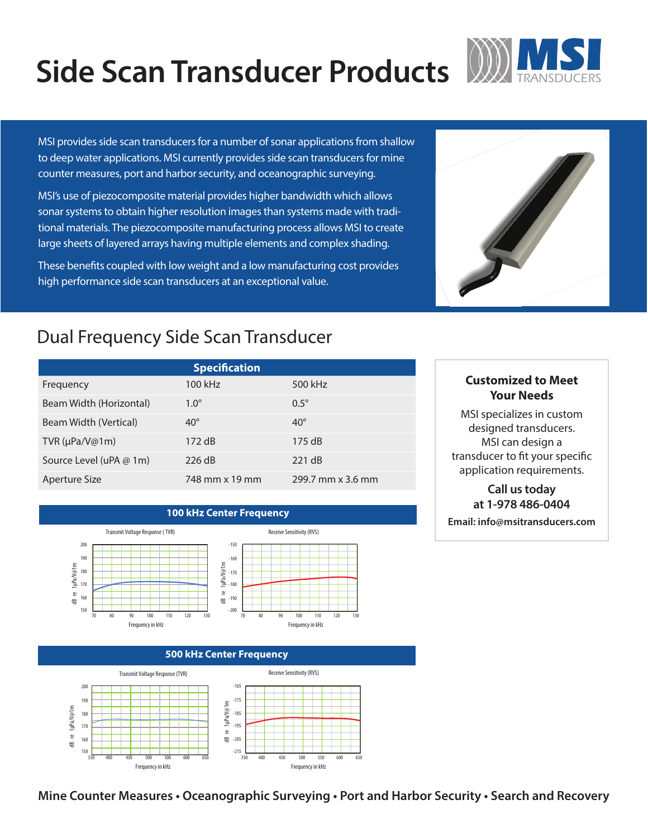## **Side Scan Transducer Products** W



MSI provides side scan transducers for a number of sonar applications from shallow to deep water applications. MSI currently provides side scan transducers for mine counter measures, port and harbor security, and oceanographic surveying.

MSI's use of piezocomposite material provides higher bandwidth which allows sonar systems to obtain higher resolution images than systems made with traditional materials. The piezocomposite manufacturing process allows MSI to create large sheets of layered arrays having multiple elements and complex shading.

These benefits coupled with low weight and a low manufacturing cost provides high performance side scan transducers at an exceptional value.

### Dual Frequency Side Scan Transducer

| <b>Specification</b>    |                |                   |
|-------------------------|----------------|-------------------|
| Frequency               | 100 kHz        | 500 kHz           |
| Beam Width (Horizontal) | $1.0^\circ$    | $0.5^\circ$       |
| Beam Width (Vertical)   | $40^\circ$     | $40^\circ$        |
| TVR ( $\mu$ Pa/V@1m)    | 172 dB         | 175dB             |
| Source Level (uPA @ 1m) | 226 dB         | 221 dB            |
| Aperture Size           | 748 mm x 19 mm | 299.7 mm x 3.6 mm |

**100 kHz Center Frequency**



dB re 1µPa/V@1m

 $\stackrel{\circ}{\simeq}$ 

€

1µPa/V@1m

dB re 1µPa/V@1m

dB re 1

1µPa/V@1m

Frequency in kHz Frequency in kHz Frequency in kHz Frequency in kHz



Receive Sensitivity (RVS)

#### **500 kHz Center Frequency** Receive Sensitivity (RVS) Transmit Voltage Response (TVR) ‐165 200 190 ‐175 dB re 1µPa/V@1m 180 ‐185 170 ‐195 ์<br>≌ ‐205 160  $\oplus$ 150 ‐215 350 400 450 500 500 600 650 350 400 450 500 550 600 650

### **Customized to Meet Your Needs**

MSI specializes in custom designed transducers. MSI can design a transducer to fit your specific application requirements.

### **Call us today at 1-978 486‐0404**

**Email: info@msitransducers.com**

Receive Sensitivity (RVS)

**Mine Counter Measures • Oceanographic Surveying • Port and Harbor Security • Search and Recovery**